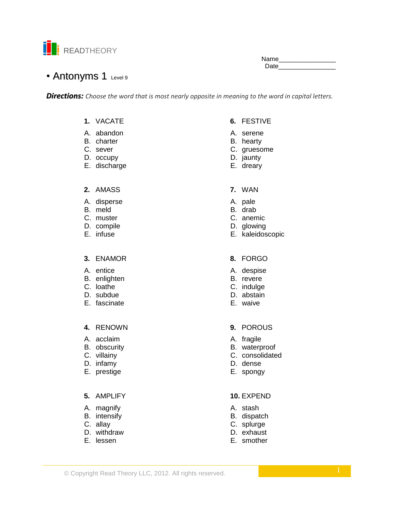

Name\_\_ Date

# • Antonyms 1 Level 9

**Directions:** Choose the word that is most nearly opposite in meaning to the word in capital letters.

- 1. VACATE
- A. abandon
- B. charter
- C. sever
- D. occupy
- E. discharge

### 2. AMASS

- A. disperse
- B. meld
- C. muster
- D. compile
- E. infuse

### 3. ENAMOR

- A. entice
- B. enlighten
- C. loathe
- D. subdue
- E. fascinate

### 4. RENOWN

- A. acclaim
- B. obscurity
- C. villainy
- D. infamy
- E. prestige

### 5. AMPLIFY

- A. magnify
- B. intensify
- C. allay
- D. withdraw
- E. lessen

## 6. FESTIVE

- A. serene
- B. hearty
- C. gruesome
- D. jaunty
- E. dreary
- 7. WAN
- A. pale
- B. drab
- C. anemic
- D. glowing
- E. kaleidoscopic

### 8. FORGO

- A. despise
- B. revere
- C. indulge
- D. abstain
- E. waive

### 9. POROUS

- A. fragile
- B. waterproof
- C. consolidated
- D. dense
- E. spongy

### 10. EXPEND

- A. stash
- B. dispatch
- C. splurge
- D. exhaust
- E. smother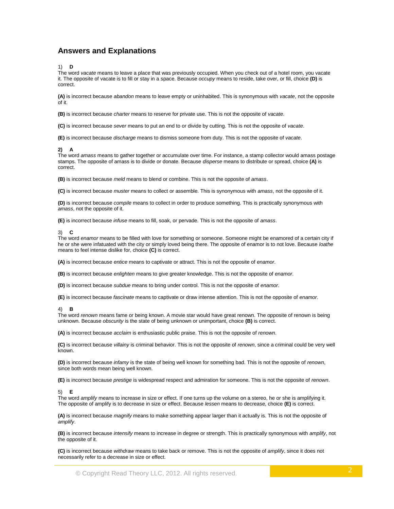### **Answers and Explanations**

1) **D**

The word *vacate* means to leave a place that was previously occupied. When you check out of a hotel room, you vacate it. The opposite of vacate is to fill or stay in a space. Because *occupy* means to reside, take over, or fill, choice **(D)** is correct.

**(A)** is incorrect because *abandon* means to leave empty or uninhabited. This is synonymous with *vacate*, not the opposite of it.

**(B)** is incorrect because *charter* means to reserve for private use. This is not the opposite of *vacate*.

**(C)** is incorrect because *sever* means to put an end to or divide by cutting. This is not the opposite of *vacate*.

**(E)** is incorrect because *discharge* means to dismiss someone from duty. This is not the opposite of *vacate*.

#### **2) A**

The word *amass* means to gather together or accumulate over time. For instance, a stamp collector would amass postage stamps. The opposite of amass is to divide or donate. Because *disperse* means to distribute or spread, choice **(A)** is correct.

**(B)** is incorrect because *meld* means to blend or combine. This is not the opposite of *amass*.

**(C)** is incorrect because *muster* means to collect or assemble. This is synonymous with *amass*, not the opposite of it.

**(D)** is incorrect because *compile* means to collect in order to produce something. This is practically synonymous with *amass*, not the opposite of it.

**(E)** is incorrect because *infuse* means to fill, soak, or pervade. This is not the opposite of *amass*.

#### 3) **C**

The word *enamor* means to be filled with love for something or someone. Someone might be enamored of a certain city if he or she were infatuated with the city or simply loved being there. The opposite of enamor is to not love. Because *loathe*  means to feel intense dislike for, choice **(C)** is correct.

**(A)** is incorrect because *entice* means to captivate or attract. This is not the opposite of *enamor*.

**(B)** is incorrect because *enlighten* means to give greater knowledge. This is not the opposite of *enamor*.

**(D)** is incorrect because *subdue* means to bring under control. This is not the opposite of *enamor*.

**(E)** is incorrect because *fascinate* means to captivate or draw intense attention. This is not the opposite of *enamor*.

#### 4) **B**

The word *renown* means fame or being known. A movie star would have great renown. The opposite of renown is being unknown. Because *obscurity* is the state of being unknown or unimportant, choice **(B)** is correct.

**(A)** is incorrect because *acclaim* is enthusiastic public praise. This is not the opposite of *renown*.

**(C)** is incorrect because *villainy* is criminal behavior. This is not the opposite of *renown*, since a criminal could be very well known.

**(D)** is incorrect because *infamy* is the state of being well known for something bad. This is not the opposite of *renown*, since both words mean being well known.

**(E)** is incorrect because *prestige* is widespread respect and admiration for someone. This is not the opposite of *renown*.

#### 5) **E**

The word *amplify* means to increase in size or effect. If one turns up the volume on a stereo, he or she is amplifying it. The opposite of amplify is to decrease in size or effect. Because *lessen* means to decrease, choice **(E)** is correct.

**(A)** is incorrect because *magnify* means to make something appear larger than it actually is. This is not the opposite of *amplify*.

**(B)** is incorrect because *intensify* means to increase in degree or strength. This is practically synonymous with *amplify*, not the opposite of it.

**(C)** is incorrect because *withdraw* means to take back or remove. This is not the opposite of *amplify*, since it does not necessarily refer to a decrease in size or effect.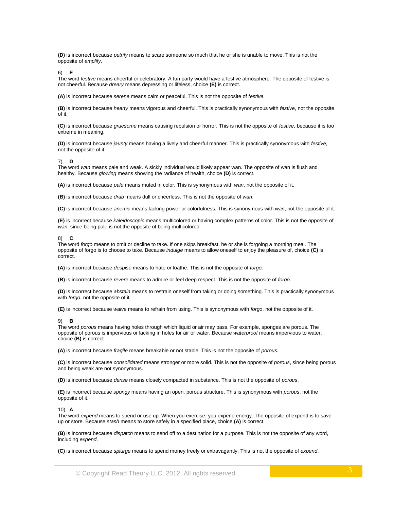**(D)** is incorrect because *petrify* means to scare someone so much that he or she is unable to move. This is not the opposite of *amplify*.

6) **E**

The word *festive* means cheerful or celebratory. A fun party would have a festive atmosphere. The opposite of festive is not cheerful. Because *dreary* means depressing or lifeless, choice **(E)** is correct.

**(A)** is incorrect because *serene* means calm or peaceful. This is not the opposite of *festive*.

**(B)** is incorrect because *hearty* means vigorous and cheerful. This is practically synonymous with *festive*, not the opposite of it.

**(C)** is incorrect because *gruesome* means causing repulsion or horror. This is not the opposite of *festive*, because it is too extreme in meaning.

**(D)** is incorrect because *jaunty* means having a lively and cheerful manner. This is practically synonymous with *festive*, not the opposite of it.

#### 7) **D**

The word *wan* means pale and weak. A sickly individual would likely appear wan. The opposite of wan is flush and healthy. Because *glowing* means showing the radiance of health, choice **(D)** is correct.

**(A)** is incorrect because *pale* means muted in color. This is synonymous with *wan*, not the opposite of it.

**(B)** is incorrect because *drab* means dull or cheerless. This is not the opposite of *wan*.

**(C)** is incorrect because *anemic* means lacking power or colorfulness. This is synonymous with *wan*, not the opposite of it.

**(E)** is incorrect because *kaleidoscopic* means multicolored or having complex patterns of color. This is not the opposite of *wan*, since being pale is not the opposite of being multicolored.

#### 8) **C**

The word *forgo* means to omit or decline to take. If one skips breakfast, he or she is forgoing a morning meal. The opposite of forgo is to choose to take. Because *indulge* means to allow oneself to enjoy the pleasure of, choice **(C)** is correct.

**(A)** is incorrect because *despise* means to hate or loathe. This is not the opposite of *forgo*.

**(B)** is incorrect because *revere* means to admire or feel deep respect. This is not the opposite of *forgo*.

**(D)** is incorrect because *abstain* means to restrain oneself from taking or doing something. This is practically synonymous with *forgo*, not the opposite of it.

**(E)** is incorrect because *waive* means to refrain from using. This is synonymous with *forgo*, not the opposite of it.

#### 9) **B**

The word *porous* means having holes through which liquid or air may pass. For example, sponges are porous. The opposite of porous is impervious or lacking in holes for air or water. Because *waterproof* means impervious to water, choice **(B)** is correct.

**(A)** is incorrect because *fragile* means breakable or not stable. This is not the opposite of *porous*.

**(C)** is incorrect because *consolidated* means stronger or more solid. This is not the opposite of *porous*, since being porous and being weak are not synonymous.

**(D)** is incorrect because *dense* means closely compacted in substance. This is not the opposite of *porous*.

**(E)** is incorrect because *spongy* means having an open, porous structure. This is synonymous with *porous*, not the opposite of it.

#### 10) **A**

The word *expend* means to spend or use up. When you exercise, you expend energy. The opposite of expend is to save up or store. Because *stash* means to store safely in a specified place, choice **(A)** is correct.

**(B)** is incorrect because *dispatch* means to send off to a destination for a purpose. This is not the opposite of any word, including *expend*.

**(C)** is incorrect because *splurge* means to spend money freely or extravagantly. This is not the opposite of *expend*.